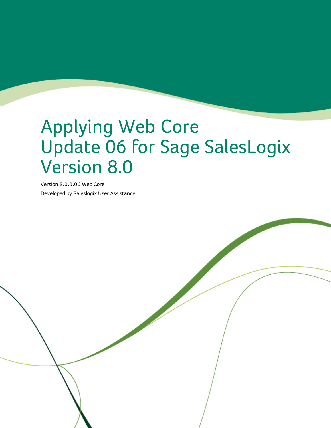# Applying Web Core Update 06 for Sage SalesLogix Version 8.0

Version 8.0.0.06 Web Core Developed by Saleslogix User Assistance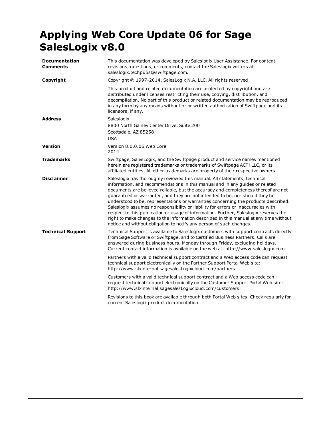## **Applying Web Core Update 06 for Sage SalesLogix v8.0**

| <b>Documentation</b><br>Comments | This documentation was developed by Saleslogix User Assistance. For content<br>revisions, questions, or comments, contact the Saleslogix writers at<br>saleslogix.techpubs@swiftpage.com.                                                                                                                                                                                                                                                                                                                                                                                                                                                                                                                                                                           |
|----------------------------------|---------------------------------------------------------------------------------------------------------------------------------------------------------------------------------------------------------------------------------------------------------------------------------------------------------------------------------------------------------------------------------------------------------------------------------------------------------------------------------------------------------------------------------------------------------------------------------------------------------------------------------------------------------------------------------------------------------------------------------------------------------------------|
| Copyright                        | Copyright © 1997-2014, SalesLogix N.A, LLC. All rights reserved                                                                                                                                                                                                                                                                                                                                                                                                                                                                                                                                                                                                                                                                                                     |
|                                  | This product and related documentation are protected by copyright and are<br>distributed under licenses restricting their use, copying, distribution, and<br>decompilation. No part of this product or related documentation may be reproduced<br>in any form by any means without prior written authorization of Swiftpage and its<br>licensors, if any.                                                                                                                                                                                                                                                                                                                                                                                                           |
| <b>Address</b>                   | Saleslogix<br>8800 North Gainey Center Drive, Suite 200<br>Scottsdale, AZ 85258<br><b>USA</b>                                                                                                                                                                                                                                                                                                                                                                                                                                                                                                                                                                                                                                                                       |
| <b>Version</b>                   | Version 8.0.0.06 Web Core<br>2014                                                                                                                                                                                                                                                                                                                                                                                                                                                                                                                                                                                                                                                                                                                                   |
| <b>Trademarks</b>                | Swiftpage, SalesLogix, and the Swiftpage product and service names mentioned<br>herein are registered trademarks or trademarks of Swiftpage ACT! LLC, or its<br>affiliated entities. All other trademarks are property of their respective owners.                                                                                                                                                                                                                                                                                                                                                                                                                                                                                                                  |
| <b>Disclaimer</b>                | Saleslogix has thoroughly reviewed this manual. All statements, technical<br>information, and recommendations in this manual and in any guides or related<br>documents are believed reliable, but the accuracy and completeness thereof are not<br>guaranteed or warranted, and they are not intended to be, nor should they be<br>understood to be, representations or warranties concerning the products described.<br>Saleslogix assumes no responsibility or liability for errors or inaccuracies with<br>respect to this publication or usage of information. Further, Saleslogix reserves the<br>right to make changes to the information described in this manual at any time without<br>notice and without obligation to notify any person of such changes. |
| <b>Technical Support</b>         | Technical Support is available to Saleslogix customers with support contracts directly<br>from Sage Software or Swiftpage, and to Certified Business Partners. Calls are<br>answered during business hours, Monday through Friday, excluding holidays.<br>Current contact information is available on the web at: http://www.saleslogix.com                                                                                                                                                                                                                                                                                                                                                                                                                         |
|                                  | Partners with a valid technical support contract and a Web access code can request<br>technical support electronically on the Partner Support Portal Web site:<br>http://www.slxinternal.sagesalesLogixcloud.com/partners.                                                                                                                                                                                                                                                                                                                                                                                                                                                                                                                                          |
|                                  | Customers with a valid technical support contract and a Web access code can<br>request technical support electronically on the Customer Support Portal Web site:<br>http://www.slxinternal.sagesalesLogixcloud.com/customers.                                                                                                                                                                                                                                                                                                                                                                                                                                                                                                                                       |
|                                  | Revisions to this book are available through both Portal Web sites. Check regularly for<br>current Saleslogix product documentation.                                                                                                                                                                                                                                                                                                                                                                                                                                                                                                                                                                                                                                |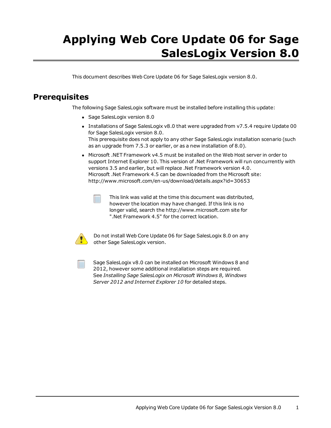## **Applying Web Core Update 06 for Sage SalesLogix Version 8.0**

This document describes Web Core Update 06 for Sage SalesLogix version 8.0.

## **Prerequisites**

The following Sage SalesLogix software must be installed before installing this update:

- Sage SalesLogix version 8.0
- Installations of Sage SalesLogix v8.0 that were upgraded from v7.5.4 require Update 00 for Sage SalesLogix version 8.0. This prerequisite does not apply to any other Sage SalesLogix installation scenario (such as an upgrade from 7.5.3 or earlier, or as a new installation of 8.0).
- Microsoft .NET Framework v4.5 must be installed on the Web Host server in order to support Internet Explorer 10. This version of .Net Framework will run concurrently with versions 3.5 and earlier, but will replace .Net Framework version 4.0. Microsoft .Net Framework 4.5 can be downloaded from the Microsoft site: <http://www.microsoft.com/en-us/download/details.aspx?id=30653>



This link was valid at the time this document was distributed, however the location may have changed. If this link is no longer valid, search the http://www.microsoft.com site for ".Net Framework 4.5" for the correct location.



Do not install Web Core Update 06 for Sage SalesLogix 8.0 on any other Sage SalesLogix version.



Sage SalesLogix v8.0 can be installed on Microsoft Windows 8 and 2012, however some additional installation steps are required. See *Installing Sage SalesLogix on Microsoft Windows 8, Windows Server 2012 and Internet Explorer 10* for detailed steps.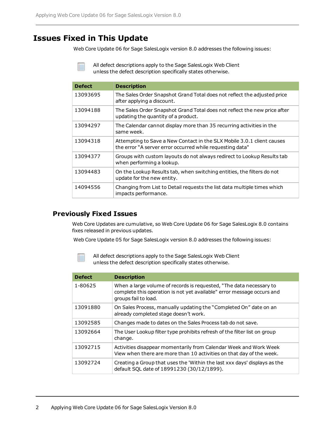## **Issues Fixed in This Update**

Web Core Update 06 for Sage SalesLogix version 8.0 addresses the following issues:

All defect descriptions apply to the Sage SalesLogix Web Client unless the defect description specifically states otherwise.

| <b>Defect</b> | <b>Description</b>                                                                                                                  |
|---------------|-------------------------------------------------------------------------------------------------------------------------------------|
| 13093695      | The Sales Order Snapshot Grand Total does not reflect the adjusted price<br>after applying a discount.                              |
| 13094188      | The Sales Order Snapshot Grand Total does not reflect the new price after<br>updating the quantity of a product.                    |
| 13094297      | The Calendar cannot display more than 35 recurring activities in the<br>same week.                                                  |
| 13094318      | Attempting to Save a New Contact in the SLX Mobile 3.0.1 client causes<br>the error "A server error occurred while requesting data" |
| 13094377      | Groups with custom layouts do not always redirect to Lookup Results tab<br>when performing a lookup.                                |
| 13094483      | On the Lookup Results tab, when switching entities, the filters do not<br>update for the new entity.                                |
| 14094556      | Changing from List to Detail requests the list data multiple times which<br>impacts performance.                                    |

### **Previously Fixed Issues**

Web Core Updates are cumulative, so Web Core Update 06 for Sage SalesLogix 8.0 contains fixes released in previous updates.

Web Core Update 05 for Sage SalesLogix version 8.0 addresses the following issues:



| <b>Defect</b> | <b>Description</b>                                                                                                                                                    |
|---------------|-----------------------------------------------------------------------------------------------------------------------------------------------------------------------|
| 1-80625       | When a large volume of records is requested, "The data necessary to<br>complete this operation is not yet available" error message occurs and<br>groups fail to load. |
| 13091880      | On Sales Process, manually updating the "Completed On" date on an<br>already completed stage doesn't work.                                                            |
| 13092585      | Changes made to dates on the Sales Process tab do not save.                                                                                                           |
| 13092664      | The User Lookup filter type prohibits refresh of the filter list on group<br>change.                                                                                  |
| 13092715      | Activities disappear momentarily from Calendar Week and Work Week<br>View when there are more than 10 activities on that day of the week.                             |
| 13092724      | Creating a Group that uses the 'Within the last xxx days' displays as the<br>default SQL date of 18991230 (30/12/1899).                                               |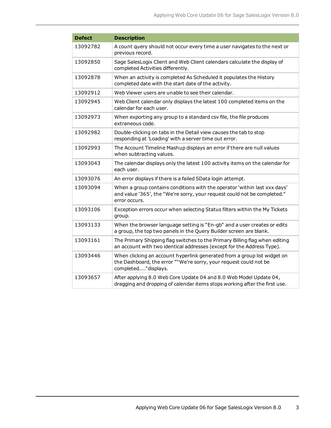| <b>Defect</b> | <b>Description</b>                                                                                                                                                     |
|---------------|------------------------------------------------------------------------------------------------------------------------------------------------------------------------|
| 13092782      | A count query should not occur every time a user navigates to the next or<br>previous record.                                                                          |
| 13092850      | Sage SalesLogix Client and Web Client calendars calculate the display of<br>completed Activities differently.                                                          |
| 13092878      | When an activity is completed As Scheduled it populates the History<br>completed date with the start date of the activity.                                             |
| 13092912      | Web Viewer users are unable to see their calendar.                                                                                                                     |
| 13092945      | Web Client calendar only displays the latest 100 completed items on the<br>calendar for each user.                                                                     |
| 13092973      | When exporting any group to a standard csv file, the file produces<br>extraneous code.                                                                                 |
| 13092982      | Double-clicking on tabs in the Detail view causes the tab to stop<br>responding at 'Loading' with a server time out error.                                             |
| 13092993      | The Account Timeline Mashup displays an error if there are null values<br>when subtracting values.                                                                     |
| 13093043      | The calendar displays only the latest 100 activity items on the calendar for<br>each user.                                                                             |
| 13093076      | An error displays if there is a failed SData login attempt.                                                                                                            |
| 13093094      | When a group contains conditions with the operator 'within last xxx days'<br>and value '365', the "We're sorry, your request could not be completed."<br>error occurs. |
| 13093106      | Exception errors occur when selecting Status filters within the My Tickets<br>group.                                                                                   |
| 13093133      | When the browser language setting is "En-gb" and a user creates or edits<br>a group, the top two panels in the Query Builder screen are blank.                         |
| 13093161      | The Primary Shipping flag switches to the Primary Billing flag when editing<br>an account with two identical addresses (except for the Address Type).                  |
| 13093446      | When clicking an account hyperlink generated from a group list widget on<br>the Dashboard, the error ""We're sorry, your request could not be<br>completed"displays.   |
| 13093657      | After applying 8.0 Web Core Update 04 and 8.0 Web Model Update 04,<br>dragging and dropping of calendar items stops working after the first use.                       |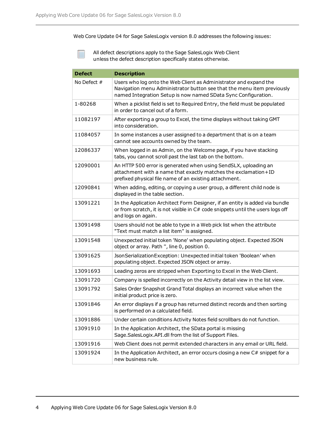Web Core Update 04 for Sage SalesLogix version 8.0 addresses the following issues:

| <b>Defect</b> | <b>Description</b>                                                                                                                                                                                            |
|---------------|---------------------------------------------------------------------------------------------------------------------------------------------------------------------------------------------------------------|
| No Defect $#$ | Users who log onto the Web Client as Administrator and expand the<br>Navigation menu Administrator button see that the menu item previously<br>named Integration Setup is now named SData Sync Configuration. |
| 1-80268       | When a picklist field is set to Required Entry, the field must be populated<br>in order to cancel out of a form.                                                                                              |
| 11082197      | After exporting a group to Excel, the time displays without taking GMT<br>into consideration.                                                                                                                 |
| 11084057      | In some instances a user assigned to a department that is on a team<br>cannot see accounts owned by the team.                                                                                                 |
| 12086337      | When logged in as Admin, on the Welcome page, if you have stacking<br>tabs, you cannot scroll past the last tab on the bottom.                                                                                |
| 12090001      | An HTTP 500 error is generated when using SendSLX, uploading an<br>attachment with a name that exactly matches the exclamation+ID<br>prefixed physical file name of an existing attachment.                   |
| 12090841      | When adding, editing, or copying a user group, a different child node is<br>displayed in the table section.                                                                                                   |
| 13091221      | In the Application Architect Form Designer, if an entity is added via bundle<br>or from scratch, it is not visible in C# code snippets until the users logs off<br>and logs on again.                         |
| 13091498      | Users should not be able to type in a Web pick list when the attribute<br>"Text must match a list item" is assigned.                                                                                          |
| 13091548      | Unexpected initial token 'None' when populating object. Expected JSON<br>object or array. Path ", line 0, position 0.                                                                                         |
| 13091625      | JsonSerializationException: Unexpected initial token 'Boolean' when<br>populating object. Expected JSON object or array.                                                                                      |
| 13091693      | Leading zeros are stripped when Exporting to Excel in the Web Client.                                                                                                                                         |
| 13091720      | Company is spelled incorrectly on the Activity detail view in the list view.                                                                                                                                  |
| 13091792      | Sales Order Snapshot Grand Total displays an incorrect value when the<br>initial product price is zero.                                                                                                       |
| 13091846      | An error displays if a group has returned distinct records and then sorting<br>is performed on a calculated field.                                                                                            |
| 13091886      | Under certain conditions Activity Notes field scrollbars do not function.                                                                                                                                     |
| 13091910      | In the Application Architect, the SData portal is missing<br>Sage.SalesLogix.API.dll from the list of Support Files.                                                                                          |
| 13091916      | Web Client does not permit extended characters in any email or URL field.                                                                                                                                     |
| 13091924      | In the Application Architect, an error occurs closing a new $C#$ snippet for a<br>new business rule.                                                                                                          |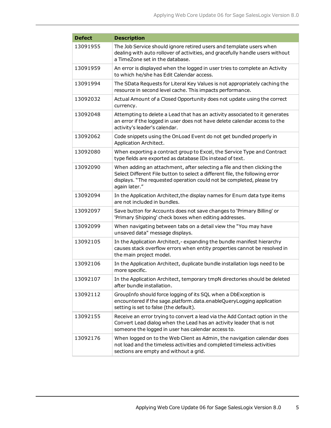| <b>Defect</b> | <b>Description</b>                                                                                                                                                                                                                                |
|---------------|---------------------------------------------------------------------------------------------------------------------------------------------------------------------------------------------------------------------------------------------------|
| 13091955      | The Job Service should ignore retired users and template users when<br>dealing with auto rollover of activities, and gracefully handle users without<br>a TimeZone set in the database.                                                           |
| 13091959      | An error is displayed when the logged in user tries to complete an Activity<br>to which he/she has Edit Calendar access.                                                                                                                          |
| 13091994      | The SData Requests for Literal Key Values is not appropriately caching the<br>resource in second level cache. This impacts performance.                                                                                                           |
| 13092032      | Actual Amount of a Closed Opportunity does not update using the correct<br>currency.                                                                                                                                                              |
| 13092048      | Attempting to delete a Lead that has an activity associated to it generates<br>an error if the logged in user does not have delete calendar access to the<br>activity's leader's calendar.                                                        |
| 13092062      | Code snippets using the OnLoad Event do not get bundled properly in<br>Application Architect.                                                                                                                                                     |
| 13092080      | When exporting a contract group to Excel, the Service Type and Contract<br>type fields are exported as database IDs instead of text.                                                                                                              |
| 13092090      | When adding an attachment, after selecting a file and then clicking the<br>Select Different File button to select a different file, the following error<br>displays. "The requested operation could not be completed, please try<br>again later." |
| 13092094      | In the Application Architect, the display names for Enum data type items<br>are not included in bundles.                                                                                                                                          |
| 13092097      | Save button for Accounts does not save changes to 'Primary Billing' or<br>'Primary Shipping' check boxes when editing addresses.                                                                                                                  |
| 13092099      | When navigating between tabs on a detail view the "You may have<br>unsaved data" message displays.                                                                                                                                                |
| 13092105      | In the Application Architect,-expanding the bundle manifest hierarchy<br>causes stack overflow errors when entity properties cannot be resolved in<br>the main project model.                                                                     |
| 13092106      | In the Application Architect, duplicate bundle installation logs need to be<br>more specific.                                                                                                                                                     |
| 13092107      | In the Application Architect, temporary tmpN directories should be deleted<br>after bundle installation.                                                                                                                                          |
| 13092112      | GroupInfo should force logging of its SQL when a DbException is<br>encountered if the sage.platform.data.enableQueryLogging application<br>setting is set to false (the default).                                                                 |
| 13092155      | Receive an error trying to convert a lead via the Add Contact option in the<br>Convert Lead dialog when the Lead has an activity leader that is not<br>someone the logged in user has calendar access to.                                         |
| 13092176      | When logged on to the Web Client as Admin, the navigation calendar does<br>not load and the timeless activities and completed timeless activities<br>sections are empty and without a grid.                                                       |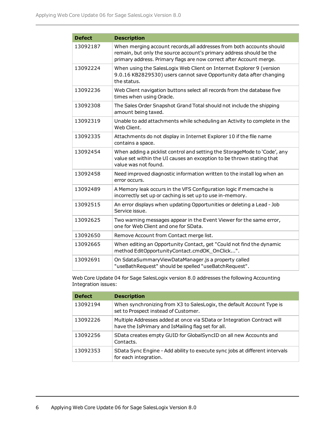| <b>Defect</b> | <b>Description</b>                                                                                                                                                                                                  |
|---------------|---------------------------------------------------------------------------------------------------------------------------------------------------------------------------------------------------------------------|
| 13092187      | When merging account records, all addresses from both accounts should<br>remain, but only the source account's primary address should be the<br>primary address. Primary flags are now correct after Account merge. |
| 13092224      | When using the SalesLogix Web Client on Internet Explorer 9 (version<br>9.0.16 KB2829530) users cannot save Opportunity data after changing<br>the status.                                                          |
| 13092236      | Web Client navigation buttons select all records from the database five<br>times when using Oracle.                                                                                                                 |
| 13092308      | The Sales Order Snapshot Grand Total should not include the shipping<br>amount being taxed.                                                                                                                         |
| 13092319      | Unable to add attachments while scheduling an Activity to complete in the<br>Web Client.                                                                                                                            |
| 13092335      | Attachments do not display in Internet Explorer 10 if the file name<br>contains a space.                                                                                                                            |
| 13092454      | When adding a picklist control and setting the StorageMode to 'Code', any<br>value set within the UI causes an exception to be thrown stating that<br>value was not found.                                          |
| 13092458      | Need improved diagnostic information written to the install log when an<br>error occurs.                                                                                                                            |
| 13092489      | A Memory leak occurs in the VFS Configuration logic if memcache is<br>incorrectly set up or caching is set up to use in-memory.                                                                                     |
| 13092515      | An error displays when updating Opportunities or deleting a Lead - Job<br>Service issue.                                                                                                                            |
| 13092625      | Two warning messages appear in the Event Viewer for the same error,<br>one for Web Client and one for SData.                                                                                                        |
| 13092650      | Remove Account from Contact merge list.                                                                                                                                                                             |
| 13092665      | When editing an Opportunity Contact, get "Could not find the dynamic<br>method EditOpportunityContact.cmdOK OnClick".                                                                                               |
| 13092691      | On SdataSummaryViewDataManager.js a property called<br>"useBathRequest" should be spelled "useBatchRequest".                                                                                                        |

Web Core Update 04 for Sage SalesLogix version 8.0 addresses the following Accounting Integration issues:

| <b>Defect</b> | <b>Description</b>                                                                                                            |
|---------------|-------------------------------------------------------------------------------------------------------------------------------|
| 13092194      | When synchronizing from X3 to SalesLogix, the default Account Type is<br>set to Prospect instead of Customer.                 |
| 13092226      | Multiple Addresses added at once via SData or Integration Contract will<br>have the IsPrimary and IsMailing flag set for all. |
| 13092256      | SData creates empty GUID for GlobalSyncID on all new Accounts and<br>Contacts.                                                |
| 13092353      | SData Sync Engine - Add ability to execute sync jobs at different intervals<br>for each integration.                          |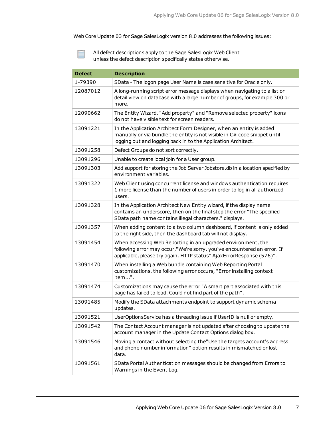Web Core Update 03 for Sage SalesLogix version 8.0 addresses the following issues:

| <b>Defect</b> | <b>Description</b>                                                                                                                                                                                                |
|---------------|-------------------------------------------------------------------------------------------------------------------------------------------------------------------------------------------------------------------|
| 1-79390       | SData - The logon page User Name is case sensitive for Oracle only.                                                                                                                                               |
| 12087012      | A long-running script error message displays when navigating to a list or<br>detail view on database with a large number of groups, for example 300 or<br>more.                                                   |
| 12090662      | The Entity Wizard, "Add property" and "Remove selected property" icons<br>do not have visible text for screen readers.                                                                                            |
| 13091221      | In the Application Architect Form Designer, when an entity is added<br>manually or via bundle the entity is not visible in C# code snippet until<br>logging out and logging back in to the Application Architect. |
| 13091258      | Defect Groups do not sort correctly.                                                                                                                                                                              |
| 13091296      | Unable to create local join for a User group.                                                                                                                                                                     |
| 13091303      | Add support for storing the Job Server Jobstore.db in a location specified by<br>environment variables.                                                                                                           |
| 13091322      | Web Client using concurrent license and windows authentication requires<br>1 more license than the number of users in order to log in all authorized<br>users.                                                    |
| 13091328      | In the Application Architect New Entity wizard, if the display name<br>contains an underscore, then on the final step the error "The specified<br>SData path name contains illegal characters." displays.         |
| 13091357      | When adding content to a two column dashboard, if content is only added<br>to the right side, then the dashboard tab will not display.                                                                            |
| 13091454      | When accessing Web Reporting in an upgraded environment, the<br>following error may occur,"We're sorry, you've encountered an error. If<br>applicable, please try again. HTTP status" AjaxErrorResponse (576)".   |
| 13091470      | When installing a Web bundle containing Web Reporting Portal<br>customizations, the following error occurs, "Error installing context<br>item".                                                                   |
| 13091474      | Customizations may cause the error "A smart part associated with this<br>page has failed to load. Could not find part of the path".                                                                               |
| 13091485      | Modify the SData attachments endpoint to support dynamic schema<br>updates.                                                                                                                                       |
| 13091521      | UserOptionsService has a threading issue if UserID is null or empty.                                                                                                                                              |
| 13091542      | The Contact Account manager is not updated after choosing to update the<br>account manager in the Update Contact Options dialog box.                                                                              |
| 13091546      | Moving a contact without selecting the"Use the targets account's address<br>and phone number information" option results in mismatched or lost<br>data.                                                           |
| 13091561      | SData Portal Authentication messages should be changed from Errors to<br>Warnings in the Event Log.                                                                                                               |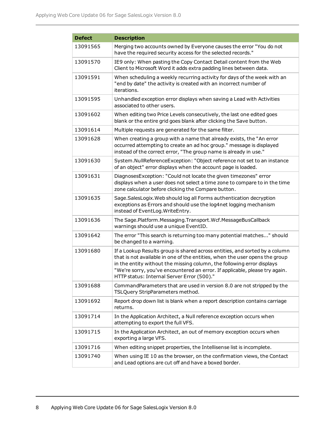| <b>Defect</b> | <b>Description</b>                                                                                                                                                                                                                                                                                                                                                |
|---------------|-------------------------------------------------------------------------------------------------------------------------------------------------------------------------------------------------------------------------------------------------------------------------------------------------------------------------------------------------------------------|
| 13091565      | Merging two accounts owned by Everyone causes the error "You do not<br>have the required security access for the selected records."                                                                                                                                                                                                                               |
| 13091570      | IE9 only: When pasting the Copy Contact Detail content from the Web<br>Client to Microsoft Word it adds extra padding lines between data.                                                                                                                                                                                                                         |
| 13091591      | When scheduling a weekly recurring activity for days of the week with an<br>"end by date" the activity is created with an incorrect number of<br>iterations.                                                                                                                                                                                                      |
| 13091595      | Unhandled exception error displays when saving a Lead with Activities<br>associated to other users.                                                                                                                                                                                                                                                               |
| 13091602      | When editing two Price Levels consecutively, the last one edited goes<br>blank or the entire grid goes blank after clicking the Save button.                                                                                                                                                                                                                      |
| 13091614      | Multiple requests are generated for the same filter.                                                                                                                                                                                                                                                                                                              |
| 13091628      | When creating a group with a name that already exists, the "An error<br>occurred attempting to create an ad hoc group." message is displayed<br>instead of the correct error, "The group name is already in use."                                                                                                                                                 |
| 13091630      | System.NullReferenceException: "Object reference not set to an instance<br>of an object" error displays when the account page is loaded.                                                                                                                                                                                                                          |
| 13091631      | DiagnosesException: "Could not locate the given timezones" error<br>displays when a user does not select a time zone to compare to in the time<br>zone calculator before clicking the Compare button.                                                                                                                                                             |
| 13091635      | Sage.SalesLogix. Web should log all Forms authentication decryption<br>exceptions as Errors and should use the log4net logging mechanism<br>instead of EventLog. WriteEntry.                                                                                                                                                                                      |
| 13091636      | The Sage.Platform.Messaging.Transport.Wcf.MessageBusCallback<br>warnings should use a unique EventID.                                                                                                                                                                                                                                                             |
| 13091642      | The error "This search is returning too many potential matches" should<br>be changed to a warning.                                                                                                                                                                                                                                                                |
| 13091680      | If a Lookup Results group is shared across entities, and sorted by a column<br>that is not available in one of the entities, when the user opens the group<br>in the entity without the missing column, the following error displays<br>"We're sorry, you've encountered an error. If applicable, please try again.<br>HTTP status: Internal Server Error (500)." |
| 13091688      | CommandParameters that are used in version 8.0 are not stripped by the<br>TSLQuery StripParameters method.                                                                                                                                                                                                                                                        |
| 13091692      | Report drop down list is blank when a report description contains carriage<br>returns.                                                                                                                                                                                                                                                                            |
| 13091714      | In the Application Architect, a Null reference exception occurs when<br>attempting to export the full VFS.                                                                                                                                                                                                                                                        |
| 13091715      | In the Application Architect, an out of memory exception occurs when<br>exporting a large VFS.                                                                                                                                                                                                                                                                    |
| 13091716      | When editing snippet properties, the Intellisense list is incomplete.                                                                                                                                                                                                                                                                                             |
| 13091740      | When using IE 10 as the browser, on the confirmation views, the Contact<br>and Lead options are cut off and have a boxed border.                                                                                                                                                                                                                                  |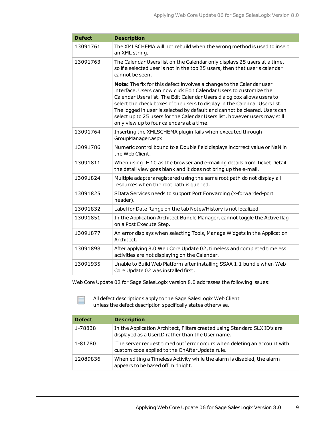| <b>Defect</b> | <b>Description</b>                                                                                                                                                                                                                                                                                                                                                                                                                                                                                            |
|---------------|---------------------------------------------------------------------------------------------------------------------------------------------------------------------------------------------------------------------------------------------------------------------------------------------------------------------------------------------------------------------------------------------------------------------------------------------------------------------------------------------------------------|
| 13091761      | The XMLSCHEMA will not rebuild when the wrong method is used to insert<br>an XML string.                                                                                                                                                                                                                                                                                                                                                                                                                      |
| 13091763      | The Calendar Users list on the Calendar only displays 25 users at a time,<br>so if a selected user is not in the top 25 users, then that user's calendar<br>cannot be seen.                                                                                                                                                                                                                                                                                                                                   |
|               | Note: The fix for this defect involves a change to the Calendar user<br>interface. Users can now click Edit Calendar Users to customize the<br>Calendar Users list. The Edit Calendar Users dialog box allows users to<br>select the check boxes of the users to display in the Calendar Users list.<br>The logged in user is selected by default and cannot be cleared. Users can<br>select up to 25 users for the Calendar Users list, however users may still<br>only view up to four calendars at a time. |
| 13091764      | Inserting the XMLSCHEMA plugin fails when executed through<br>GroupManager.aspx.                                                                                                                                                                                                                                                                                                                                                                                                                              |
| 13091786      | Numeric control bound to a Double field displays incorrect value or NaN in<br>the Web Client.                                                                                                                                                                                                                                                                                                                                                                                                                 |
| 13091811      | When using IE 10 as the browser and e-mailing details from Ticket Detail<br>the detail view goes blank and it does not bring up the e-mail.                                                                                                                                                                                                                                                                                                                                                                   |
| 13091824      | Multiple adapters registered using the same root path do not display all<br>resources when the root path is queried.                                                                                                                                                                                                                                                                                                                                                                                          |
| 13091825      | SData Services needs to support Port Forwarding (x-forwarded-port<br>header).                                                                                                                                                                                                                                                                                                                                                                                                                                 |
| 13091832      | Label for Date Range on the tab Notes/History is not localized.                                                                                                                                                                                                                                                                                                                                                                                                                                               |
| 13091851      | In the Application Architect Bundle Manager, cannot toggle the Active flag<br>on a Post Execute Step.                                                                                                                                                                                                                                                                                                                                                                                                         |
| 13091877      | An error displays when selecting Tools, Manage Widgets in the Application<br>Architect.                                                                                                                                                                                                                                                                                                                                                                                                                       |
| 13091898      | After applying 8.0 Web Core Update 02, timeless and completed timeless<br>activities are not displaying on the Calendar.                                                                                                                                                                                                                                                                                                                                                                                      |
| 13091935      | Unable to Build Web Platform after installing SSAA 1.1 bundle when Web<br>Core Update 02 was installed first.                                                                                                                                                                                                                                                                                                                                                                                                 |

Web Core Update 02 for Sage SalesLogix version 8.0 addresses the following issues:

| <b>Defect</b> | <b>Description</b>                                                                                                            |
|---------------|-------------------------------------------------------------------------------------------------------------------------------|
| 1-78838       | In the Application Architect, Filters created using Standard SLX ID's are<br>displayed as a UserID rather than the User name. |
| 1-81780       | 'The server request timed out' error occurs when deleting an account with<br>custom code applied to the OnAfterUpdate rule.   |
| 12089836      | When editing a Timeless Activity while the alarm is disabled, the alarm<br>appears to be based off midnight.                  |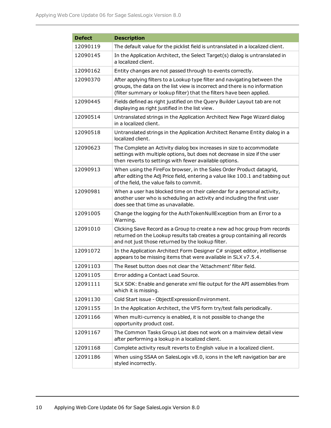| <b>Defect</b> | <b>Description</b>                                                                                                                                                                                                               |
|---------------|----------------------------------------------------------------------------------------------------------------------------------------------------------------------------------------------------------------------------------|
| 12090119      | The default value for the picklist field is untranslated in a localized client.                                                                                                                                                  |
| 12090145      | In the Application Architect, the Select Target(s) dialog is untranslated in<br>a localized client.                                                                                                                              |
| 12090162      | Entity changes are not passed through to events correctly.                                                                                                                                                                       |
| 12090370      | After applying filters to a Lookup type filter and navigating between the<br>groups, the data on the list view is incorrect and there is no information<br>(filter summary or lookup filter) that the filters have been applied. |
| 12090445      | Fields defined as right justified on the Query Builder Layout tab are not<br>displaying as right justified in the list view.                                                                                                     |
| 12090514      | Untranslated strings in the Application Architect New Page Wizard dialog<br>in a localized client.                                                                                                                               |
| 12090518      | Untranslated strings in the Application Architect Rename Entity dialog in a<br>localized client.                                                                                                                                 |
| 12090623      | The Complete an Activity dialog box increases in size to accommodate<br>settings with multiple options, but does not decrease in size if the user<br>then reverts to settings with fewer available options.                      |
| 12090913      | When using the FireFox browser, in the Sales Order Product datagrid,<br>after editing the Adj Price field, entering a value like 100.1 and tabbing out<br>of the field, the value fails to commit.                               |
| 12090981      | When a user has blocked time on their calendar for a personal activity,<br>another user who is scheduling an activity and including the first user<br>does see that time as unavailable.                                         |
| 12091005      | Change the logging for the AuthTokenNullException from an Error to a<br>Warning.                                                                                                                                                 |
| 12091010      | Clicking Save Record as a Group to create a new ad hoc group from records<br>returned on the Lookup results tab creates a group containing all records<br>and not just those returned by the lookup filter.                      |
| 12091072      | In the Application Architect Form Designer C# snippet editor, intellisense<br>appears to be missing items that were available in SLX v7.5.4.                                                                                     |
| 12091103      | The Reset button does not clear the 'Attachment' filter field.                                                                                                                                                                   |
| 12091105      | Error adding a Contact Lead Source.                                                                                                                                                                                              |
| 12091111      | SLX SDK: Enable and generate xml file output for the API assemblies from<br>which it is missing.                                                                                                                                 |
| 12091130      | Cold Start issue - ObjectExpressionEnvironment.                                                                                                                                                                                  |
| 12091155      | In the Application Architect, the VFS form try/test fails periodically.                                                                                                                                                          |
| 12091166      | When multi-currency is enabled, it is not possible to change the<br>opportunity product cost.                                                                                                                                    |
| 12091167      | The Common Tasks Group List does not work on a mainview detail view<br>after performing a lookup in a localized client.                                                                                                          |
| 12091168      | Complete activity result reverts to English value in a localized client.                                                                                                                                                         |
| 12091186      | When using SSAA on SalesLogix v8.0, icons in the left navigation bar are<br>styled incorrectly.                                                                                                                                  |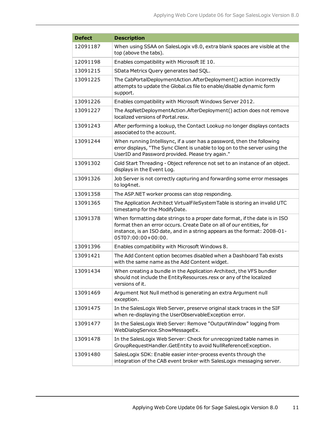| <b>Defect</b> | <b>Description</b>                                                                                                                                                                                                                                     |
|---------------|--------------------------------------------------------------------------------------------------------------------------------------------------------------------------------------------------------------------------------------------------------|
| 12091187      | When using SSAA on SalesLogix v8.0, extra blank spaces are visible at the<br>top (above the tabs).                                                                                                                                                     |
| 12091198      | Enables compatibility with Microsoft IE 10.                                                                                                                                                                                                            |
| 13091215      | SData Metrics Query generates bad SQL.                                                                                                                                                                                                                 |
| 13091225      | The CabPortalDeploymentAction.AfterDeployment() action incorrectly<br>attempts to update the Global.cs file to enable/disable dynamic form<br>support.                                                                                                 |
| 13091226      | Enables compatibility with Microsoft Windows Server 2012.                                                                                                                                                                                              |
| 13091227      | The AspNetDeploymentAction.AfterDeployment() action does not remove<br>localized versions of Portal.resx.                                                                                                                                              |
| 13091243      | After performing a lookup, the Contact Lookup no longer displays contacts<br>associated to the account.                                                                                                                                                |
| 13091244      | When running Intellisync, if a user has a password, then the following<br>error displays, "The Sync Client is unable to log on to the server using the<br>UserID and Password provided. Please try again."                                             |
| 13091302      | Cold Start Threading - Object reference not set to an instance of an object.<br>displays in the Event Log.                                                                                                                                             |
| 13091326      | Job Server is not correctly capturing and forwarding some error messages<br>to log4net.                                                                                                                                                                |
| 13091358      | The ASP.NET worker process can stop responding.                                                                                                                                                                                                        |
| 13091365      | The Application Architect VirtualFileSystemTable is storing an invalid UTC<br>timestamp for the ModifyDate.                                                                                                                                            |
| 13091378      | When formatting date strings to a proper date format, if the date is in ISO<br>format then an error occurs. Create Date on all of our entities, for<br>instance, is an ISO date, and in a string appears as the format: 2008-01-<br>05T07:00:00+00:00. |
| 13091396      | Enables compatibility with Microsoft Windows 8.                                                                                                                                                                                                        |
| 13091421      | The Add Content option becomes disabled when a Dashboard Tab exists<br>with the same name as the Add Content widget.                                                                                                                                   |
| 13091434      | When creating a bundle in the Application Architect, the VFS bundler<br>should not include the EntityResources.resx or any of the localized<br>versions of it.                                                                                         |
| 13091469      | Argument Not Null method is generating an extra Argument null<br>exception.                                                                                                                                                                            |
| 13091475      | In the SalesLogix Web Server, preserve original stack traces in the SIF<br>when re-displaying the UserObservableException error.                                                                                                                       |
| 13091477      | In the SalesLogix Web Server: Remove "OutputWindow" logging from<br>WebDialogService.ShowMessageEx.                                                                                                                                                    |
| 13091478      | In the SalesLogix Web Server: Check for unrecognized table names in<br>GroupRequestHandler.GetEntity to avoid NullReferenceException.                                                                                                                  |
| 13091480      | SalesLogix SDK: Enable easier inter-process events through the<br>integration of the CAB event broker with SalesLogix messaging server.                                                                                                                |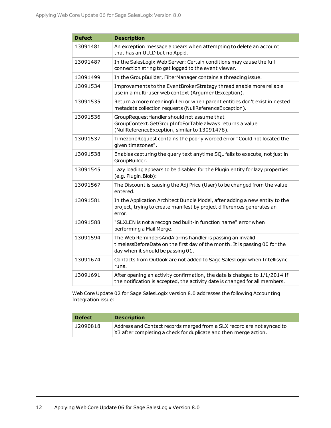| <b>Defect</b> | <b>Description</b>                                                                                                                                                            |
|---------------|-------------------------------------------------------------------------------------------------------------------------------------------------------------------------------|
| 13091481      | An exception message appears when attempting to delete an account<br>that has an UUID but no Appid.                                                                           |
| 13091487      | In the SalesLogix Web Server: Certain conditions may cause the full<br>connection string to get logged to the event viewer.                                                   |
| 13091499      | In the GroupBuilder, FilterManager contains a threading issue.                                                                                                                |
| 13091534      | Improvements to the EventBrokerStrategy thread enable more reliable<br>use in a multi-user web context (ArgumentException).                                                   |
| 13091535      | Return a more meaningful error when parent entities don't exist in nested<br>metadata collection requests (NullReferenceException).                                           |
| 13091536      | GroupRequestHandler should not assume that<br>GroupContext.GetGroupInfoForTable always returns a value<br>(NullReferenceException, similar to 13091478).                      |
| 13091537      | TimezoneRequest contains the poorly worded error "Could not located the<br>given timezones".                                                                                  |
| 13091538      | Enables capturing the query text anytime SQL fails to execute, not just in<br>GroupBuilder.                                                                                   |
| 13091545      | Lazy loading appears to be disabled for the Plugin entity for lazy properties<br>(e.g. Plugin.Blob):                                                                          |
| 13091567      | The Discount is causing the Adj Price (User) to be changed from the value<br>entered.                                                                                         |
| 13091581      | In the Application Architect Bundle Model, after adding a new entity to the<br>project, trying to create manifest by project differences generates an<br>error.               |
| 13091588      | "SLXLEN is not a recognized built-in function name" error when<br>performing a Mail Merge.                                                                                    |
| 13091594      | The Web RemindersAndAlarms handler is passing an invalid _<br>timelessBeforeDate on the first day of the month. It is passing 00 for the<br>day when it should be passing 01. |
| 13091674      | Contacts from Outlook are not added to Sage SalesLogix when Intellisync<br>runs.                                                                                              |
| 13091691      | After opening an activity confirmation, the date is chabged to 1/1/2014 If<br>the notification is accepted, the activity date is changed for all members.                     |

Web Core Update 02 for Sage SalesLogix version 8.0 addresses the following Accounting Integration issue:

| <b>Defect</b> | <b>Description</b>                                                                                                                         |
|---------------|--------------------------------------------------------------------------------------------------------------------------------------------|
| 12090818      | Address and Contact records merged from a SLX record are not synced to<br>X3 after completing a check for duplicate and then merge action. |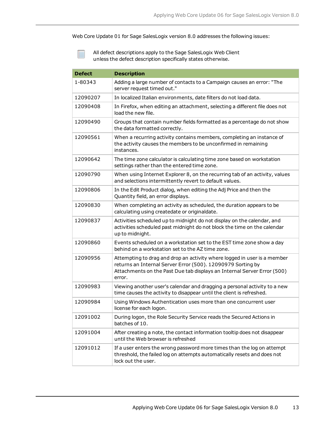Web Core Update 01 for Sage SalesLogix version 8.0 addresses the following issues:

| <b>Defect</b> | <b>Description</b>                                                                                                                                                                                                           |
|---------------|------------------------------------------------------------------------------------------------------------------------------------------------------------------------------------------------------------------------------|
| 1-80343       | Adding a large number of contacts to a Campaign causes an error: "The<br>server request timed out."                                                                                                                          |
| 12090207      | In localized Italian environments, date filters do not load data.                                                                                                                                                            |
| 12090408      | In Firefox, when editing an attachment, selecting a different file does not<br>load the new file.                                                                                                                            |
| 12090490      | Groups that contain number fields formatted as a percentage do not show<br>the data formatted correctly.                                                                                                                     |
| 12090561      | When a recurring activity contains members, completing an instance of<br>the activity causes the members to be unconfirmed in remaining<br>instances.                                                                        |
| 12090642      | The time zone calculator is calculating time zone based on workstation<br>settings rather than the entered time zone.                                                                                                        |
| 12090790      | When using Internet Explorer 8, on the recurring tab of an activity, values<br>and selections intermittently revert to default values.                                                                                       |
| 12090806      | In the Edit Product dialog, when editing the Adj Price and then the<br>Quantity field, an error displays.                                                                                                                    |
| 12090830      | When completing an activity as scheduled, the duration appears to be<br>calculating using createdate or originaldate.                                                                                                        |
| 12090837      | Activities scheduled up to midnight do not display on the calendar, and<br>activities scheduled past midnight do not block the time on the calendar<br>up to midnight.                                                       |
| 12090860      | Events scheduled on a workstation set to the EST time zone show a day<br>behind on a workstation set to the AZ time zone.                                                                                                    |
| 12090956      | Attempting to drag and drop an activity where logged in user is a member<br>returns an Internal Server Error (500). 12090979 Sorting by<br>Attachments on the Past Due tab displays an Internal Server Error (500)<br>error. |
| 12090983      | Viewing another user's calendar and dragging a personal activity to a new<br>time causes the activity to disappear until the client is refreshed.                                                                            |
| 12090984      | Using Windows Authentication uses more than one concurrent user<br>license for each logon.                                                                                                                                   |
| 12091002      | During logon, the Role Security Service reads the Secured Actions in<br>batches of 10.                                                                                                                                       |
| 12091004      | After creating a note, the contact information tooltip does not disappear<br>until the Web browser is refreshed                                                                                                              |
| 12091012      | If a user enters the wrong password more times than the log on attempt<br>threshold, the failed log on attempts automatically resets and does not<br>lock out the user.                                                      |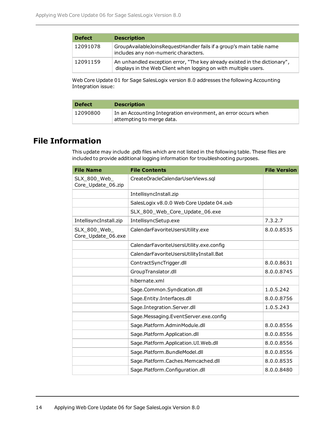| <b>Defect</b> | <b>Description</b>                                                                                                                            |
|---------------|-----------------------------------------------------------------------------------------------------------------------------------------------|
| 12091078      | GroupAvailableJoinsRequestHandler fails if a group's main table name<br>includes any non-numeric characters.                                  |
| 12091159      | An unhandled exception error, "The key already existed in the dictionary",<br>displays in the Web Client when logging on with multiple users. |

Web Core Update 01 for Sage SalesLogix version 8.0 addresses the following Accounting Integration issue:

| <b>Defect</b> | <b>Description</b>                                                                          |
|---------------|---------------------------------------------------------------------------------------------|
| 12090800      | In an Accounting Integration environment, an error occurs when<br>attempting to merge data. |

## **File Information**

This update may include .pdb files which are not listed in the following table. These files are included to provide additional logging information for troubleshooting purposes.

| <b>File Name</b>                   | <b>File Contents</b>                     | <b>File Version</b> |
|------------------------------------|------------------------------------------|---------------------|
| SLX_800_Web_<br>Core_Update_06.zip | CreateOracleCalendarUserViews.sql        |                     |
|                                    | IntellisyncInstall.zip                   |                     |
|                                    | SalesLogix v8.0.0 Web Core Update 04.sxb |                     |
|                                    | SLX_800_Web_Core_Update_06.exe           |                     |
| IntellisyncInstall.zip             | IntellisyncSetup.exe                     | 7.3.2.7             |
| SLX_800_Web_<br>Core_Update_06.exe | CalendarFavoriteUsersUtility.exe         | 8.0.0.8535          |
|                                    | CalendarFavoriteUsersUtility.exe.config  |                     |
|                                    | CalendarFavoriteUsersUtilityInstall.Bat  |                     |
|                                    | ContractSyncTrigger.dll                  | 8.0.0.8631          |
|                                    | GroupTranslator.dll                      | 8.0.0.8745          |
|                                    | hibernate.xml                            |                     |
|                                    | Sage.Common.Syndication.dll              | 1.0.5.242           |
|                                    | Sage.Entity.Interfaces.dll               | 8.0.0.8756          |
|                                    | Sage.Integration.Server.dll              | 1.0.5.243           |
|                                    | Sage.Messaging.EventServer.exe.config    |                     |
|                                    | Sage.Platform.AdminModule.dll            | 8.0.0.8556          |
|                                    | Sage.Platform.Application.dll            | 8.0.0.8556          |
|                                    | Sage.Platform.Application.UI.Web.dll     | 8.0.0.8556          |
|                                    | Sage.Platform.BundleModel.dll            | 8.0.0.8556          |
|                                    | Sage.Platform.Caches.Memcached.dll       | 8.0.0.8535          |
|                                    | Sage.Platform.Configuration.dll          | 8.0.0.8480          |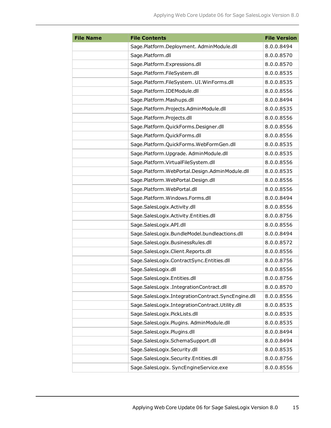| <b>File Name</b> | <b>File Contents</b>                               | <b>File Version</b> |
|------------------|----------------------------------------------------|---------------------|
|                  | Sage.Platform.Deployment. AdminModule.dll          | 8.0.0.8494          |
|                  | Sage.Platform.dll                                  | 8.0.0.8570          |
|                  | Sage.Platform.Expressions.dll                      | 8.0.0.8570          |
|                  | Sage.Platform.FileSystem.dll                       | 8.0.0.8535          |
|                  | Sage.Platform.FileSystem. UI.WinForms.dll          | 8.0.0.8535          |
|                  | Sage.Platform.IDEModule.dll                        | 8.0.0.8556          |
|                  | Sage.Platform.Mashups.dll                          | 8.0.0.8494          |
|                  | Sage.Platform.Projects.AdminModule.dll             | 8.0.0.8535          |
|                  | Sage.Platform.Projects.dll                         | 8.0.0.8556          |
|                  | Sage.Platform.QuickForms.Designer.dll              | 8.0.0.8556          |
|                  | Sage.Platform.QuickForms.dll                       | 8.0.0.8556          |
|                  | Sage.Platform.QuickForms.WebFormGen.dll            | 8.0.0.8535          |
|                  | Sage.Platform.Upgrade. AdminModule.dll             | 8.0.0.8535          |
|                  | Sage.Platform.VirtualFileSystem.dll                | 8.0.0.8556          |
|                  | Sage.Platform.WebPortal.Design.AdminModule.dll     | 8.0.0.8535          |
|                  | Sage.Platform.WebPortal.Design.dll                 | 8.0.0.8556          |
|                  | Sage.Platform.WebPortal.dll                        | 8.0.0.8556          |
|                  | Sage.Platform.Windows.Forms.dll                    | 8.0.0.8494          |
|                  | Sage.SalesLogix.Activity.dll                       | 8.0.0.8556          |
|                  | Sage.SalesLogix.Activity.Entities.dll              | 8.0.0.8756          |
|                  | Sage.SalesLogix.API.dll                            | 8.0.0.8556          |
|                  | Sage.SalesLogix.BundleModel.bundleactions.dll      | 8.0.0.8494          |
|                  | Sage.SalesLogix.BusinessRules.dll                  | 8.0.0.8572          |
|                  | Sage.SalesLogix.Client.Reports.dll                 | 8.0.0.8556          |
|                  | Sage.SalesLogix.ContractSync.Entities.dll          | 8.0.0.8756          |
|                  | Sage.SalesLogix.dll                                | 8.0.0.8556          |
|                  | Sage.SalesLogix.Entities.dll                       | 8.0.0.8756          |
|                  | Sage.SalesLogix .IntegrationContract.dll           | 8.0.0.8570          |
|                  | Sage.SalesLogix.IntegrationContract.SyncEngine.dll | 8.0.0.8556          |
|                  | Sage.SalesLogix.IntegrationContract.Utility.dll    | 8.0.0.8535          |
|                  | Sage.SalesLogix.PickLists.dll                      | 8.0.0.8535          |
|                  | Sage.SalesLogix.Plugins. AdminModule.dll           | 8.0.0.8535          |
|                  | Sage.SalesLogix.Plugins.dll                        | 8.0.0.8494          |
|                  | Sage.SalesLogix.SchemaSupport.dll                  | 8.0.0.8494          |
|                  | Sage.SalesLogix.Security.dll                       | 8.0.0.8535          |
|                  | Sage.SalesLogix.Security.Entities.dll              | 8.0.0.8756          |
|                  | Sage.SalesLogix. SyncEngineService.exe             | 8.0.0.8556          |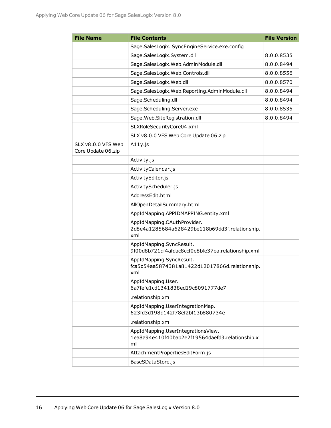| <b>File Name</b>                         | <b>File Contents</b>                                                                        | <b>File Version</b> |
|------------------------------------------|---------------------------------------------------------------------------------------------|---------------------|
|                                          | Sage.SalesLogix. SyncEngineService.exe.config                                               |                     |
|                                          | Sage.SalesLogix.System.dll                                                                  | 8.0.0.8535          |
|                                          | Sage.SalesLogix.Web.AdminModule.dll                                                         | 8.0.0.8494          |
|                                          | Sage.SalesLogix.Web.Controls.dll                                                            | 8.0.0.8556          |
|                                          | Sage.SalesLogix.Web.dll                                                                     | 8.0.0.8570          |
|                                          | Sage.SalesLogix.Web.Reporting.AdminModule.dll                                               | 8.0.0.8494          |
|                                          | Sage.Scheduling.dll                                                                         | 8.0.0.8494          |
|                                          | Sage.Scheduling.Server.exe                                                                  | 8.0.0.8535          |
|                                          | Sage. Web. SiteRegistration.dll                                                             | 8.0.0.8494          |
|                                          | SLXRoleSecurityCore04.xml_                                                                  |                     |
|                                          | SLX v8.0.0 VFS Web Core Update 06.zip                                                       |                     |
| SLX v8.0.0 VFS Web<br>Core Update 06.zip | $A11y$ .js                                                                                  |                     |
|                                          | Activity.js                                                                                 |                     |
|                                          | ActivityCalendar.js                                                                         |                     |
|                                          | ActivityEditor.js                                                                           |                     |
|                                          | ActivityScheduler.js                                                                        |                     |
|                                          | AddressEdit.html                                                                            |                     |
|                                          | AllOpenDetailSummary.html                                                                   |                     |
|                                          | AppIdMapping.APPIDMAPPING.entity.xml                                                        |                     |
|                                          | AppIdMapping.OAuthProvider.<br>2d8e4a1285684a628429be118b69dd3f.relationship.<br>xml        |                     |
|                                          | AppIdMapping.SyncResult.<br>9f00d8b721df4afdac8ccf0e8bfe37ea.relationship.xml               |                     |
|                                          | AppIdMapping.SyncResult.<br>fca5d54aa5874381a81422d12017866d.relationship.<br>xml           |                     |
|                                          | AppIdMapping.User.<br>6a7fefe1cd1341838ed19c8091777de7                                      |                     |
|                                          | .relationship.xml                                                                           |                     |
|                                          | AppIdMapping.UserIntegrationMap.<br>623fd3d198d142f78ef2bf13b880734e                        |                     |
|                                          | .relationship.xml                                                                           |                     |
|                                          | AppIdMapping.UserIntegrationsView.<br>1ea8a94e410f40bab2e2f19564daefd3.relationship.x<br>ml |                     |
|                                          | AttachmentPropertiesEditForm.js                                                             |                     |
|                                          | BaseSDataStore.js                                                                           |                     |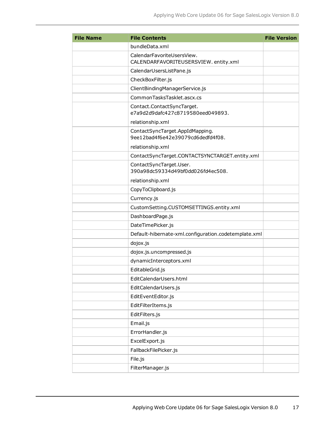| <b>File Name</b> | <b>File Contents</b>                                                 | <b>File Version</b> |
|------------------|----------------------------------------------------------------------|---------------------|
|                  | bundleData.xml                                                       |                     |
|                  | CalendarFavoriteUsersView.<br>CALENDARFAVORITEUSERSVIEW.entity.xml   |                     |
|                  | CalendarUsersListPane.js                                             |                     |
|                  | CheckBoxFilter.js                                                    |                     |
|                  | ClientBindingManagerService.js                                       |                     |
|                  | CommonTasksTasklet.ascx.cs                                           |                     |
|                  | Contact.ContactSyncTarget.<br>e7a9d2d9dafc427c8719580eed049893.      |                     |
|                  | relationship.xml                                                     |                     |
|                  | ContactSyncTarget.AppIdMapping.<br>9ee12bad4f6e42e39079cd6dedfd4f08. |                     |
|                  | relationship.xml                                                     |                     |
|                  | ContactSyncTarget.CONTACTSYNCTARGET.entity.xml                       |                     |
|                  | ContactSyncTarget.User.<br>390a98dc59334d49bf0dd026fd4ec508.         |                     |
|                  | relationship.xml                                                     |                     |
|                  | CopyToClipboard.js                                                   |                     |
|                  | Currency.js                                                          |                     |
|                  | CustomSetting.CUSTOMSETTINGS.entity.xml                              |                     |
|                  | DashboardPage.js                                                     |                     |
|                  | DateTimePicker.js                                                    |                     |
|                  | Default-hibernate-xml.configuration.codetemplate.xml                 |                     |
|                  | dojox.js                                                             |                     |
|                  | dojox.js.uncompressed.js                                             |                     |
|                  | dynamicInterceptors.xml                                              |                     |
|                  | EditableGrid.js                                                      |                     |
|                  | EditCalendarUsers.html                                               |                     |
|                  | EditCalendarUsers.js                                                 |                     |
|                  | EditEventEditor.js                                                   |                     |
|                  | EditFilterItems.js                                                   |                     |
|                  | EditFilters.js                                                       |                     |
|                  | Email.js                                                             |                     |
|                  | ErrorHandler.js                                                      |                     |
|                  | ExcelExport.js                                                       |                     |
|                  | FallbackFilePicker.js                                                |                     |
|                  | File.js                                                              |                     |
|                  | FilterManager.js                                                     |                     |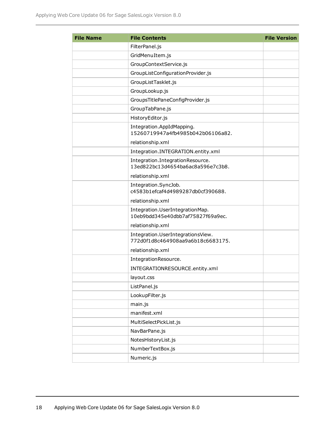| <b>File Name</b> | <b>File Contents</b>                                                   | <b>File Version</b> |
|------------------|------------------------------------------------------------------------|---------------------|
|                  | FilterPanel.js                                                         |                     |
|                  | GridMenuItem.js                                                        |                     |
|                  | GroupContextService.js                                                 |                     |
|                  | GroupListConfigurationProvider.js                                      |                     |
|                  | GroupListTasklet.js                                                    |                     |
|                  | GroupLookup.js                                                         |                     |
|                  | GroupsTitlePaneConfigProvider.js                                       |                     |
|                  | GroupTabPane.js                                                        |                     |
|                  | HistoryEditor.js                                                       |                     |
|                  | Integration.AppIdMapping.<br>15260719947a4fb4985b042b06106a82.         |                     |
|                  | relationship.xml                                                       |                     |
|                  | Integration.INTEGRATION.entity.xml                                     |                     |
|                  | Integration.IntegrationResource.<br>13ed822bc13d4654ba6ac8a596e7c3b8.  |                     |
|                  | relationship.xml                                                       |                     |
|                  | Integration.SyncJob.<br>c4583b1efcaf4d4989287db0cf390688.              |                     |
|                  | relationship.xml                                                       |                     |
|                  | Integration.UserIntegrationMap.<br>10eb9bdd345e40dbb7af75827f69a9ec.   |                     |
|                  | relationship.xml                                                       |                     |
|                  | Integration.UserIntegrationsView.<br>772d0f1d8c464908aa9a6b18c6683175. |                     |
|                  | relationship.xml                                                       |                     |
|                  | IntegrationResource.                                                   |                     |
|                  | INTEGRATIONRESOURCE.entity.xml                                         |                     |
|                  | layout.css                                                             |                     |
|                  | ListPanel.js                                                           |                     |
|                  | LookupFilter.js                                                        |                     |
|                  | main.js                                                                |                     |
|                  | manifest.xml                                                           |                     |
|                  | MultiSelectPickList.js                                                 |                     |
|                  | NavBarPane.js                                                          |                     |
|                  | NotesHistoryList.js                                                    |                     |
|                  | NumberTextBox.js                                                       |                     |
|                  | Numeric.js                                                             |                     |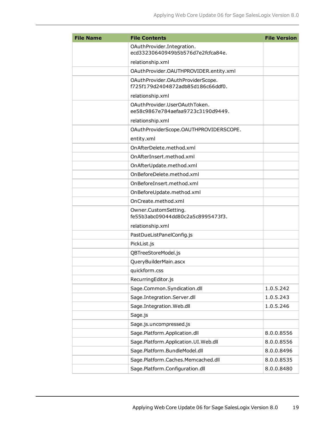| <b>File Name</b> | <b>File Contents</b>                                                   | <b>File Version</b> |
|------------------|------------------------------------------------------------------------|---------------------|
|                  | OAuthProvider.Integration.<br>ecd33230640949b5b576d7e2fcfca84e.        |                     |
|                  | relationship.xml                                                       |                     |
|                  | OAuthProvider.OAUTHPROVIDER.entity.xml                                 |                     |
|                  | OAuthProvider.OAuthProviderScope.<br>f725f179d2404872adb85d186c66ddf0. |                     |
|                  | relationship.xml                                                       |                     |
|                  | OAuthProvider.UserOAuthToken.<br>ee58c9867e784aefaa9723c3190d9449.     |                     |
|                  | relationship.xml                                                       |                     |
|                  | OAuthProviderScope.OAUTHPROVIDERSCOPE.                                 |                     |
|                  | entity.xml                                                             |                     |
|                  | OnAfterDelete.method.xml                                               |                     |
|                  | OnAfterInsert.method.xml                                               |                     |
|                  | OnAfterUpdate.method.xml                                               |                     |
|                  | OnBeforeDelete.method.xml                                              |                     |
|                  | OnBeforeInsert.method.xml                                              |                     |
|                  | OnBeforeUpdate.method.xml                                              |                     |
|                  | OnCreate.method.xml                                                    |                     |
|                  | Owner.CustomSetting.<br>fe55b3abc09044dd80c2a5c8995473f3.              |                     |
|                  | relationship.xml                                                       |                     |
|                  | PastDueListPanelConfig.js                                              |                     |
|                  | PickList.js                                                            |                     |
|                  | QBTreeStoreModel.js                                                    |                     |
|                  | QueryBuilderMain.ascx                                                  |                     |
|                  | quickform.css                                                          |                     |
|                  | RecurringEditor.js                                                     |                     |
|                  | Sage.Common.Syndication.dll                                            | 1.0.5.242           |
|                  | Sage.Integration.Server.dll                                            | 1.0.5.243           |
|                  | Sage.Integration.Web.dll                                               | 1.0.5.246           |
|                  | Sage.js                                                                |                     |
|                  | Sage.js.uncompressed.js                                                |                     |
|                  | Sage.Platform.Application.dll                                          | 8.0.0.8556          |
|                  | Sage.Platform.Application.UI.Web.dll                                   | 8.0.0.8556          |
|                  | Sage.Platform.BundleModel.dll                                          | 8.0.0.8496          |
|                  | Sage.Platform.Caches.Memcached.dll                                     | 8.0.0.8535          |
|                  | Sage.Platform.Configuration.dll                                        | 8.0.0.8480          |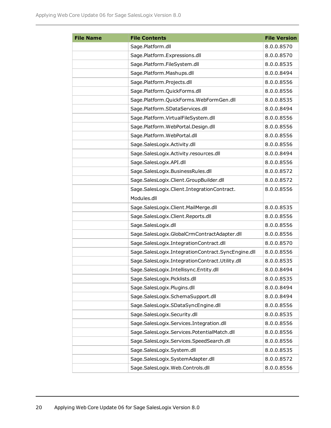| <b>File Name</b> | <b>File Contents</b>                               | <b>File Version</b> |
|------------------|----------------------------------------------------|---------------------|
|                  | Sage.Platform.dll                                  | 8.0.0.8570          |
|                  | Sage.Platform.Expressions.dll                      | 8.0.0.8570          |
|                  | Sage.Platform.FileSystem.dll                       | 8.0.0.8535          |
|                  | Sage.Platform.Mashups.dll                          | 8.0.0.8494          |
|                  | Sage.Platform.Projects.dll                         | 8.0.0.8556          |
|                  | Sage.Platform.QuickForms.dll                       | 8.0.0.8556          |
|                  | Sage.Platform.QuickForms.WebFormGen.dll            | 8.0.0.8535          |
|                  | Sage.Platform.SDataServices.dll                    | 8.0.0.8494          |
|                  | Sage.Platform.VirtualFileSystem.dll                | 8.0.0.8556          |
|                  | Sage.Platform.WebPortal.Design.dll                 | 8.0.0.8556          |
|                  | Sage.Platform.WebPortal.dll                        | 8.0.0.8556          |
|                  | Sage.SalesLogix.Activity.dll                       | 8.0.0.8556          |
|                  | Sage.SalesLogix.Activity.resources.dll             | 8.0.0.8494          |
|                  | Sage.SalesLogix.API.dll                            | 8.0.0.8556          |
|                  | Sage.SalesLogix.BusinessRules.dll                  | 8.0.0.8572          |
|                  | Sage.SalesLogix.Client.GroupBuilder.dll            | 8.0.0.8572          |
|                  | Sage.SalesLogix.Client.IntegrationContract.        | 8.0.0.8556          |
|                  | Modules.dll                                        |                     |
|                  | Sage.SalesLogix.Client.MailMerge.dll               | 8.0.0.8535          |
|                  | Sage.SalesLogix.Client.Reports.dll                 | 8.0.0.8556          |
|                  | Sage.SalesLogix.dll                                | 8.0.0.8556          |
|                  | Sage.SalesLogix.GlobalCrmContractAdapter.dll       | 8.0.0.8556          |
|                  | Sage.SalesLogix.IntegrationContract.dll            | 8.0.0.8570          |
|                  | Sage.SalesLogix.IntegrationContract.SyncEngine.dll | 8.0.0.8556          |
|                  | Sage.SalesLogix.IntegrationContract.Utility.dll    | 8.0.0.8535          |
|                  | Sage.SalesLogix.Intellisync.Entity.dll             | 8.0.0.8494          |
|                  | Sage.SalesLogix.Picklists.dll                      | 8.0.0.8535          |
|                  | Sage.SalesLogix.Plugins.dll                        | 8.0.0.8494          |
|                  | Sage.SalesLogix.SchemaSupport.dll                  | 8.0.0.8494          |
|                  | Sage.SalesLogix.SDataSyncEngine.dll                | 8.0.0.8556          |
|                  | Sage.SalesLogix.Security.dll                       | 8.0.0.8535          |
|                  | Sage.SalesLogix.Services.Integration.dll           | 8.0.0.8556          |
|                  | Sage.SalesLogix.Services.PotentialMatch.dll        | 8.0.0.8556          |
|                  | Sage.SalesLogix.Services.SpeedSearch.dll           | 8.0.0.8556          |
|                  | Sage.SalesLogix.System.dll                         | 8.0.0.8535          |
|                  | Sage.SalesLogix.SystemAdapter.dll                  | 8.0.0.8572          |
|                  | Sage.SalesLogix.Web.Controls.dll                   | 8.0.0.8556          |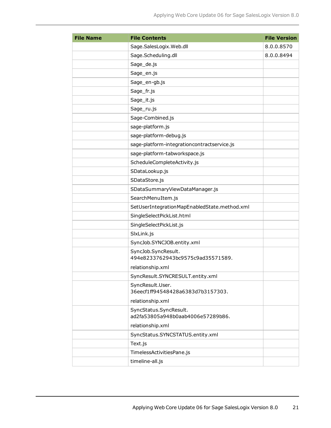| <b>File Name</b> | <b>File Contents</b>                                        | <b>File Version</b> |
|------------------|-------------------------------------------------------------|---------------------|
|                  | Sage.SalesLogix.Web.dll                                     | 8.0.0.8570          |
|                  | Sage.Scheduling.dll                                         | 8.0.0.8494          |
|                  | Sage_de.js                                                  |                     |
|                  | Sage_en.js                                                  |                     |
|                  | Sage_en-gb.js                                               |                     |
|                  | Sage_fr.js                                                  |                     |
|                  | Sage_it.js                                                  |                     |
|                  | Sage_ru.js                                                  |                     |
|                  | Sage-Combined.js                                            |                     |
|                  | sage-platform.js                                            |                     |
|                  | sage-platform-debug.js                                      |                     |
|                  | sage-platform-integrationcontractservice.js                 |                     |
|                  | sage-platform-tabworkspace.js                               |                     |
|                  | ScheduleCompleteActivity.js                                 |                     |
|                  | SDataLookup.js                                              |                     |
|                  | SDataStore.js                                               |                     |
|                  | SDataSummaryViewDataManager.js                              |                     |
|                  | SearchMenuItem.js                                           |                     |
|                  | SetUserIntegrationMapEnabledState.method.xml                |                     |
|                  | SingleSelectPickList.html                                   |                     |
|                  | SingleSelectPickList.js                                     |                     |
|                  | SlxLink.js                                                  |                     |
|                  | SyncJob.SYNCJOB.entity.xml                                  |                     |
|                  | SyncJob.SyncResult.<br>494e8233762943bc9575c9ad35571589.    |                     |
|                  | relationship.xml                                            |                     |
|                  | SyncResult.SYNCRESULT.entity.xml                            |                     |
|                  | SyncResult.User.<br>36eecf1ff94548428a6383d7b3157303.       |                     |
|                  | relationship.xml                                            |                     |
|                  | SyncStatus.SyncResult.<br>ad2fa53805a948b0aab4006e57289b86. |                     |
|                  | relationship.xml                                            |                     |
|                  | SyncStatus.SYNCSTATUS.entity.xml                            |                     |
|                  | Text.js                                                     |                     |
|                  | TimelessActivitiesPane.js                                   |                     |
|                  | timeline-all.js                                             |                     |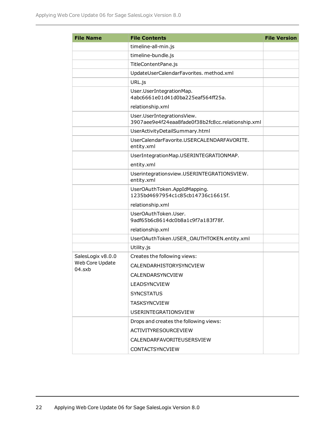| <b>File Name</b>  | <b>File Contents</b>                                                            | <b>File Version</b> |
|-------------------|---------------------------------------------------------------------------------|---------------------|
|                   | timeline-all-min.js                                                             |                     |
|                   | timeline-bundle.js                                                              |                     |
|                   | TitleContentPane.js                                                             |                     |
|                   | UpdateUserCalendarFavorites. method.xml                                         |                     |
|                   | URL.js                                                                          |                     |
|                   | User.UserIntegrationMap.<br>4abc6661e01d41d0ba225eaf564ff25a.                   |                     |
|                   | relationship.xml                                                                |                     |
|                   | User.UserIntegrationsView.<br>3907aee9e4f24eaa8fade0f38b2fc8cc.relationship.xml |                     |
|                   | UserActivityDetailSummary.html                                                  |                     |
|                   | UserCalendarFavorite.USERCALENDARFAVORITE.<br>entity.xml                        |                     |
|                   | UserIntegrationMap.USERINTEGRATIONMAP.                                          |                     |
|                   | entity.xml                                                                      |                     |
|                   | Userintegrationsview.USERINTEGRATIONSVIEW.<br>entity.xml                        |                     |
|                   | UserOAuthToken.AppIdMapping.<br>1235bd4697954c1c85cb14736c16615f.               |                     |
|                   | relationship.xml                                                                |                     |
|                   | UserOAuthToken.User.<br>9adf65b6c8614dc0b8a1c9f7a183f78f.                       |                     |
|                   | relationship.xml                                                                |                     |
|                   | UserOAuthToken.USER_OAUTHTOKEN.entity.xml                                       |                     |
|                   | Utility.js                                                                      |                     |
| SalesLogix v8.0.0 | Creates the following views:                                                    |                     |
| Web Core Update   | CALENDARHISTORYSYNCVIEW                                                         |                     |
| 04.sxb            | CALENDARSYNCVIEW                                                                |                     |
|                   | <b>LEADSYNCVIEW</b>                                                             |                     |
|                   | <b>SYNCSTATUS</b>                                                               |                     |
|                   | <b>TASKSYNCVIEW</b>                                                             |                     |
|                   | <b>USERINTEGRATIONSVIEW</b>                                                     |                     |
|                   | Drops and creates the following views:                                          |                     |
|                   | ACTIVITYRESOURCEVIEW                                                            |                     |
|                   | CALENDARFAVORITEUSERSVIEW                                                       |                     |
|                   | CONTACTSYNCVIEW                                                                 |                     |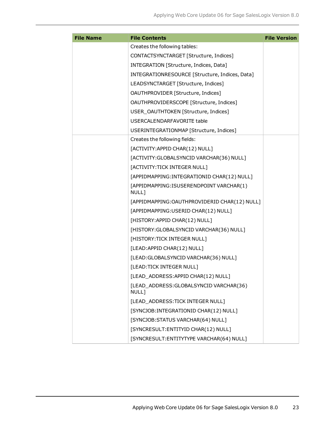| <b>File Name</b> | <b>File Contents</b>                             | <b>File Version</b> |
|------------------|--------------------------------------------------|---------------------|
|                  | Creates the following tables:                    |                     |
|                  | CONTACTSYNCTARGET [Structure, Indices]           |                     |
|                  | INTEGRATION [Structure, Indices, Data]           |                     |
|                  | INTEGRATIONRESOURCE [Structure, Indices, Data]   |                     |
|                  | LEADSYNCTARGET [Structure, Indices]              |                     |
|                  | OAUTHPROVIDER [Structure, Indices]               |                     |
|                  | OAUTHPROVIDERSCOPE [Structure, Indices]          |                     |
|                  | USER_OAUTHTOKEN [Structure, Indices]             |                     |
|                  | USERCALENDARFAVORITE table                       |                     |
|                  | USERINTEGRATIONMAP [Structure, Indices]          |                     |
|                  | Creates the following fields:                    |                     |
|                  | [ACTIVITY: APPID CHAR(12) NULL]                  |                     |
|                  | [ACTIVITY: GLOBALSYNCID VARCHAR(36) NULL]        |                     |
|                  | [ACTIVITY: TICK INTEGER NULL]                    |                     |
|                  | [APPIDMAPPING: INTEGRATIONID CHAR(12) NULL]      |                     |
|                  | [APPIDMAPPING:ISUSERENDPOINT VARCHAR(1)<br>NULL] |                     |
|                  | [APPIDMAPPING:OAUTHPROVIDERID CHAR(12) NULL]     |                     |
|                  | [APPIDMAPPING:USERID CHAR(12) NULL]              |                     |
|                  | [HISTORY: APPID CHAR(12) NULL]                   |                     |
|                  | [HISTORY: GLOBALSYNCID VARCHAR(36) NULL]         |                     |
|                  | [HISTORY: TICK INTEGER NULL]                     |                     |
|                  | [LEAD: APPID CHAR(12) NULL]                      |                     |
|                  | [LEAD: GLOBALSYNCID VARCHAR(36) NULL]            |                     |
|                  | [LEAD:TICK INTEGER NULL]                         |                     |
|                  | [LEAD_ADDRESS:APPID CHAR(12) NULL]               |                     |
|                  | [LEAD_ADDRESS:GLOBALSYNCID VARCHAR(36)<br>NULL]  |                     |
|                  | [LEAD_ADDRESS:TICK INTEGER NULL]                 |                     |
|                  | [SYNCJOB: INTEGRATIONID CHAR(12) NULL]           |                     |
|                  | [SYNCJOB:STATUS VARCHAR(64) NULL]                |                     |
|                  | [SYNCRESULT: ENTITYID CHAR(12) NULL]             |                     |
|                  | [SYNCRESULT: ENTITYTYPE VARCHAR(64) NULL]        |                     |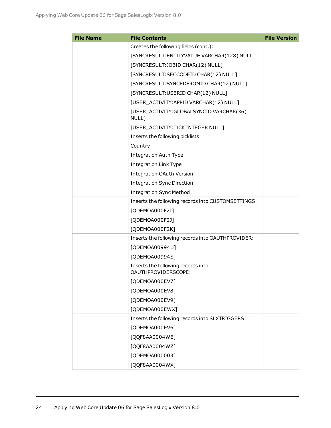| <b>File Name</b> | <b>File Contents</b>                                      | <b>File Version</b> |
|------------------|-----------------------------------------------------------|---------------------|
|                  | Creates the following fields (cont.):                     |                     |
|                  | [SYNCRESULT: ENTITYVALUE VARCHAR(128) NULL]               |                     |
|                  | [SYNCRESULT:JOBID CHAR(12) NULL]                          |                     |
|                  | [SYNCRESULT:SECCODEID CHAR(12) NULL]                      |                     |
|                  | [SYNCRESULT:SYNCEDFROMID CHAR(12) NULL]                   |                     |
|                  | [SYNCRESULT:USERID CHAR(12) NULL]                         |                     |
|                  | [USER_ACTIVITY:APPID VARCHAR(12) NULL]                    |                     |
|                  | [USER_ACTIVITY: GLOBALSYNCID VARCHAR(36)<br>NULL]         |                     |
|                  | [USER_ACTIVITY:TICK INTEGER NULL]                         |                     |
|                  | Inserts the following picklists:                          |                     |
|                  | Country                                                   |                     |
|                  | <b>Integration Auth Type</b>                              |                     |
|                  | <b>Integration Link Type</b>                              |                     |
|                  | <b>Integration OAuth Version</b>                          |                     |
|                  | <b>Integration Sync Direction</b>                         |                     |
|                  | <b>Integration Sync Method</b>                            |                     |
|                  | Inserts the following records into CUSTOMSETTINGS:        |                     |
|                  | [QDEMOA000F2I]                                            |                     |
|                  | [QDEMOA000F2J]                                            |                     |
|                  | [QDEMOA000F2K]                                            |                     |
|                  | Inserts the following records into OAUTHPROVIDER:         |                     |
|                  | [QDEMOA00994U]                                            |                     |
|                  | [QDEMOA00994S]                                            |                     |
|                  | Inserts the following records into<br>OAUTHPROVIDERSCOPE: |                     |
|                  | [QDEMOA000EV7]                                            |                     |
|                  | [QDEMOA000EV8]                                            |                     |
|                  | [QDEMOA000EV9]                                            |                     |
|                  | [QDEMOA000EWX]                                            |                     |
|                  | Inserts the following records into SLXTRIGGERS:           |                     |
|                  | [QDEMOA000EV6]                                            |                     |
|                  | [QQF8AA0004WE]                                            |                     |
|                  | [QQF8AA0004WZ]                                            |                     |
|                  | [QDEMOA000003]                                            |                     |
|                  | [QQF8AA0004WX]                                            |                     |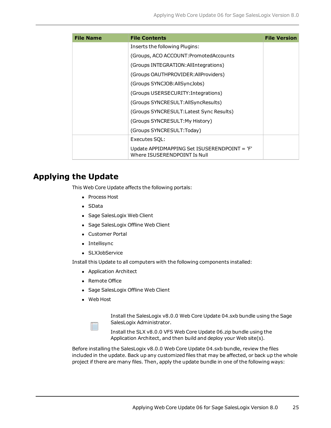| <b>File Name</b> | <b>File Contents</b>                                                         | <b>File Version</b> |
|------------------|------------------------------------------------------------------------------|---------------------|
|                  | Inserts the following Plugins:                                               |                     |
|                  | (Groups, ACO ACCOUNT: Promoted Accounts)                                     |                     |
|                  | (Groups INTEGRATION: All Integrations)                                       |                     |
|                  | (Groups OAUTHPROVIDER: All Providers)                                        |                     |
|                  | (Groups SYNCJOB:AllSyncJobs)                                                 |                     |
|                  | (Groups USERSECURITY: Integrations)                                          |                     |
|                  | (Groups SYNCRESULT:AllSyncResults)                                           |                     |
|                  | (Groups SYNCRESULT: Latest Sync Results)                                     |                     |
|                  | (Groups SYNCRESULT:My History)                                               |                     |
|                  | (Groups SYNCRESULT:Today)                                                    |                     |
|                  | Executes SOL:                                                                |                     |
|                  | Update APPIDMAPPING Set ISUSERENDPOINT = 'F'<br>Where ISUSERENDPOINT Is Null |                     |

## **Applying the Update**

This Web Core Update affects the following portals:

- Process Host
- SData
- Sage SalesLogix Web Client
- Sage SalesLogix Offline Web Client
- Customer Portal
- Intellisync
- SLXJobService

Install this Update to all computers with the following components installed:

- Application Architect
- Remote Office
- Sage SalesLogix Offline Web Client
- Web Host

Install the SalesLogix v8.0.0 Web Core Update 04.sxb bundle using the Sage SalesLogix Administrator.

Install the SLX v8.0.0 VFS Web Core Update 06.zip bundle using the Application Architect, and then build and deploy your Web site(s).

Before installing the SalesLogix v8.0.0 Web Core Update 04.sxb bundle, review the files included in the update. Back up any customized files that may be affected, or back up the whole project if there are many files. Then, apply the update bundle in one of the following ways: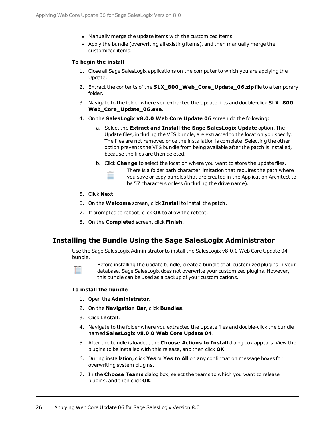- Manually merge the update items with the customized items.
- Apply the bundle (overwriting all existing items), and then manually merge the customized items.

#### **To begin the install**

- 1. Close all Sage SalesLogix applications on the computer to which you are applying the Update.
- 2. Extract the contents of the **SLX\_800\_Web\_Core\_Update\_06.zip** file to a temporary folder.
- 3. Navigate to the folder where you extracted the Update files and double-click **SLX\_800\_ Web\_Core\_Update\_06.exe**.
- 4. On the **SalesLogix v8.0.0 Web Core Update 06** screen do the following:
	- a. Select the **Extract and Install the Sage SalesLogix Update** option. The Update files, including the VFS bundle, are extracted to the location you specify. The files are not removed once the installation is complete. Selecting the other option prevents the VFS bundle from being available after the patch is installed, because the files are then deleted.
	- b. Click **Change** to select the location where you want to store the update files.

There is a folder path character limitation that requires the path where you save or copy bundles that are created in the Application Architect to be 57 characters or less (including the drive name).

- 5. Click **Next**.
- 6. On the **Welcome** screen, click **Install** to install the patch.
- 7. If prompted to reboot, click **OK** to allow the reboot.
- 8. On the **Completed** screen, click **Finish**.

#### **Installing the Bundle Using the Sage SalesLogix Administrator**

Use the Sage SalesLogix Administrator to install the SalesLogix v8.0.0 Web Core Update 04 bundle.

Before installing the update bundle, create a bundle of all customized plugins in your database. Sage SalesLogix does not overwrite your customized plugins. However, this bundle can be used as a backup of your customizations.

#### **To install the bundle**

- 1. Open the **Administrator**.
- 2. On the **Navigation Bar**, click **Bundles**.
- 3. Click **Install**.
- 4. Navigate to the folder where you extracted the Update files and double-click the bundle named **SalesLogix v8.0.0 Web Core Update 04**.
- 5. After the bundle is loaded, the **Choose Actions to Install** dialog box appears. View the plugins to be installed with this release, and then click **OK**.
- 6. During installation, click **Yes** or **Yes to All** on any confirmation message boxes for overwriting system plugins.
- 7. In the **Choose Teams** dialog box, select the teams to which you want to release plugins, and then click **OK**.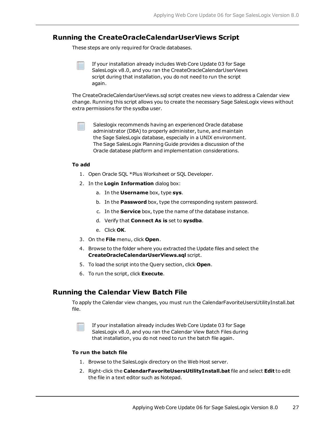#### **Running the CreateOracleCalendarUserViews Script**

These steps are only required for Oracle databases.

If your installation already includes Web Core Update 03 for Sage SalesLogix v8.0, and you ran the CreateOracleCalendarUserViews script during that installation, you do not need to run the script again.

The CreateOracleCalendarUserViews.sql script creates new views to address a Calendar view change. Running this script allows you to create the necessary Sage SalesLogix views without extra permissions for the sysdba user.

Saleslogix recommends having an experienced Oracle database administrator (DBA) to properly administer, tune, and maintain the Sage SalesLogix database, especially in a UNIX environment. The Sage SalesLogix Planning Guide provides a discussion of the Oracle database platform and implementation considerations.

#### **To add**

- 1. Open Oracle SQL \*Plus Worksheet or SQL Developer.
- 2. In the **Login Information** dialog box:
	- a. In the **Username** box, type **sys**.
	- b. In the **Password** box, type the corresponding system password.
	- c. In the **Service** box, type the name of the database instance.
	- d. Verify that **Connect As is** set to **sysdba**.
	- e. Click **OK**.
- 3. On the **File** menu, click **Open**.
- 4. Browse to the folder where you extracted the Update files and select the **CreateOracleCalendarUserViews.sql** script.
- 5. To load the script into the Query section, click **Open**.
- 6. To run the script, click **Execute**.

#### **Running the Calendar View Batch File**

To apply the Calendar view changes, you must run the CalendarFavoriteUsersUtilityInstall.bat file.

If your installation already includes Web Core Update 03 for Sage SalesLogix v8.0, and you ran the Calendar View Batch Files during that installation, you do not need to run the batch file again.

#### **To run the batch file**

- 1. Browse to the SalesLogix directory on the Web Host server.
- 2. Right-click the **CalendarFavoriteUsersUtilityInstall.bat** file and select **Edit** to edit the file in a text editor such as Notepad.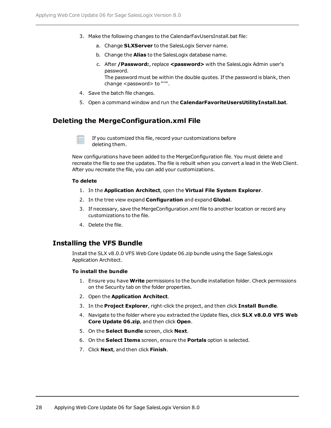- 3. Make the following changes to the CalendarFavUsersInstall.bat file:
	- a. Change **SLXServer** to the SalesLogix Server name.
	- b. Change the **Alias** to the SalesLogix database name.
	- c. After **/Password:**, replace **<password>** with the SalesLogix Admin user's password. The password must be within the double quotes. If the password is blank, then

change <password> to "'".

- 4. Save the batch file changes.
- 5. Open a command window and run the **CalendarFavoriteUsersUtilityInstall.bat**.

#### **Deleting the MergeConfiguration.xml File**

If you customized this file, record your customizations before deleting them.

New configurations have been added to the MergeConfiguration file. You must delete and recreate the file to see the updates. The file is rebuilt when you convert a lead in the Web Client. After you recreate the file, you can add your customizations.

#### **To delete**

- 1. In the **Application Architect**, open the **Virtual File System Explorer**.
- 2. In the tree view expand **Configuration** and expand **Global**.
- 3. If necessary, save the MergeConfiguration.xml file to another location or record any customizations to the file.
- 4. Delete the file.

#### **Installing the VFS Bundle**

Install the SLX v8.0.0 VFS Web Core Update 06.zip bundle using the Sage SalesLogix Application Architect.

#### **To install the bundle**

- 1. Ensure you have **Write** permissions to the bundle installation folder. Check permissions on the Security tab on the folder properties.
- 2. Open the **Application Architect**.
- 3. In the **Project Explorer**, right-click the project, and then click **Install Bundle**.
- 4. Navigate to the folder where you extracted the Update files, click **SLX v8.0.0 VFS Web Core Update 06.zip**, and then click **Open**.
- 5. On the **Select Bundle** screen, click **Next**.
- 6. On the **Select Items** screen, ensure the **Portals** option is selected.
- 7. Click **Next**, and then click **Finish**.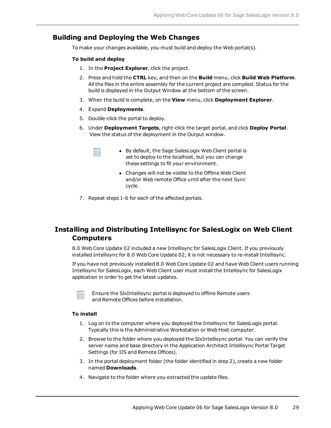### **Building and Deploying the Web Changes**

To make your changes available, you must build and deploy the Web portal(s).

#### **To build and deploy**

- 1. In the **Project Explorer**, click the project.
- 2. Press and hold the **CTRL** key, and then on the **Build** menu, click **Build Web Platform**. All the files in the entire assembly for the current project are compiled. Status for the build is displayed in the Output Window at the bottom of the screen.
- 3. When the build is complete, on the **View** menu, click **Deployment Explorer**.
- 4. Expand **Deployments**.
- 5. Double-click the portal to deploy.
- 6. Under **Deployment Targets**, right-click the target portal, and click **Deploy Portal**. View the status of the deployment in the Output window.
	- By default, the Sage SalesLogix Web Client portal is set to deploy to the localhost, but you can change these settings to fit your environment.
	- Changes will not be visible to the Offline Web Client and/or Web remote Office until after the next Sync cycle.
- 7. Repeat steps 1-6 for each of the affected portals.

## **Installing and Distributing Intellisync for SalesLogix on Web Client Computers**

8.0 Web Core Update 02 included a new Intellisync for SalesLogix Client. If you previously installed Intellisync for 8.0 Web Core Update 02, it is not necessary to re-install Intellisync.

If you have not previously installed 8.0 Web Core Update 02 and have Web Client users running Intellisync for SalesLogix, each Web Client user must install the Intellisync for SalesLogix application in order to get the latest updates.

Ensure the SlxIntellisync portal is deployed to offline Remote users and Remote Offices before installation.

#### **To install**

- 1. Log on to the computer where you deployed the Intellisync for SalesLogix portal. Typically this is the Administrative Workstation or Web Host computer.
- 2. Browse to the folder where you deployed the SlxIntellisync portal. You can verify the server name and base directory in the Application Architect Intellisync Portal Target Settings (for IIS and Remote Offices).
- 3. In the portal deployment folder (the folder identified in step 2), create a new folder named **Downloads**.
- 4. Navigate to the folder where you extracted the update files.